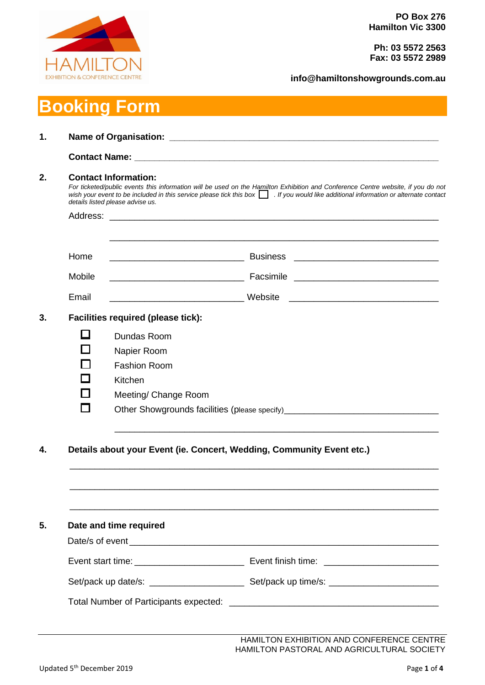

**Ph: 03 5572 2563 Fax: 03 5572 2989**

**info@hamiltonshowgrounds.com.au**

# **Booking Form**

|        | <b>Contact Information:</b><br>For ticketed/public events this information will be used on the Hamilton Exhibition and Conference Centre website, if you do not<br>wish your event to be included in this service please tick this box $\Box$ . If you would like additional information or alternate contact<br>details listed please advise us. |
|--------|---------------------------------------------------------------------------------------------------------------------------------------------------------------------------------------------------------------------------------------------------------------------------------------------------------------------------------------------------|
|        |                                                                                                                                                                                                                                                                                                                                                   |
| Home   |                                                                                                                                                                                                                                                                                                                                                   |
| Mobile |                                                                                                                                                                                                                                                                                                                                                   |
| Email  |                                                                                                                                                                                                                                                                                                                                                   |
|        | <b>Facilities required (please tick):</b>                                                                                                                                                                                                                                                                                                         |
|        | Dundas Room                                                                                                                                                                                                                                                                                                                                       |
|        | Napier Room                                                                                                                                                                                                                                                                                                                                       |
|        | <b>Fashion Room</b>                                                                                                                                                                                                                                                                                                                               |
|        | Kitchen                                                                                                                                                                                                                                                                                                                                           |
|        | Meeting/ Change Room                                                                                                                                                                                                                                                                                                                              |
|        | Other Showgrounds facilities (please specify)___________________________________                                                                                                                                                                                                                                                                  |
|        | Details about your Event (ie. Concert, Wedding, Community Event etc.)                                                                                                                                                                                                                                                                             |
|        |                                                                                                                                                                                                                                                                                                                                                   |
|        | Date and time required                                                                                                                                                                                                                                                                                                                            |
|        |                                                                                                                                                                                                                                                                                                                                                   |
|        |                                                                                                                                                                                                                                                                                                                                                   |

HAMILTON EXHIBITION AND CONFERENCE CENTRE HAMILTON PASTORAL AND AGRICULTURAL SOCIETY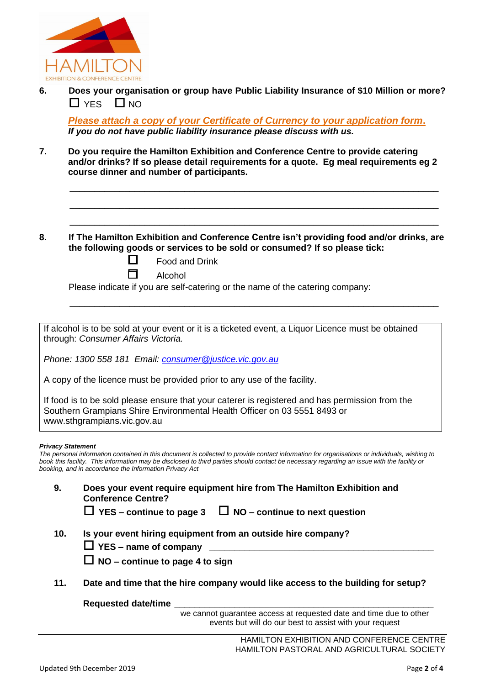

**6. Does your organisation or group have Public Liability Insurance of \$10 Million or more?** YES NO

*Please attach a copy of your Certificate of Currency to your application form***.** *If you do not have public liability insurance please discuss with us.*

\_\_\_\_\_\_\_\_\_\_\_\_\_\_\_\_\_\_\_\_\_\_\_\_\_\_\_\_\_\_\_\_\_\_\_\_\_\_\_\_\_\_\_\_\_\_\_\_\_\_\_\_\_\_\_\_\_\_\_\_\_\_\_\_\_\_\_\_\_\_\_\_\_\_

\_\_\_\_\_\_\_\_\_\_\_\_\_\_\_\_\_\_\_\_\_\_\_\_\_\_\_\_\_\_\_\_\_\_\_\_\_\_\_\_\_\_\_\_\_\_\_\_\_\_\_\_\_\_\_\_\_\_\_\_\_\_\_\_\_\_\_\_\_\_\_\_\_\_

\_\_\_\_\_\_\_\_\_\_\_\_\_\_\_\_\_\_\_\_\_\_\_\_\_\_\_\_\_\_\_\_\_\_\_\_\_\_\_\_\_\_\_\_\_\_\_\_\_\_\_\_\_\_\_\_\_\_\_\_\_\_\_\_\_\_\_\_\_\_\_\_\_\_

\_\_\_\_\_\_\_\_\_\_\_\_\_\_\_\_\_\_\_\_\_\_\_\_\_\_\_\_\_\_\_\_\_\_\_\_\_\_\_\_\_\_\_\_\_\_\_\_\_\_\_\_\_\_\_\_\_\_\_\_\_\_\_\_\_\_\_\_\_\_\_\_\_\_

- **7. Do you require the Hamilton Exhibition and Conference Centre to provide catering and/or drinks? If so please detail requirements for a quote. Eg meal requirements eg 2 course dinner and number of participants.**
- **8. If The Hamilton Exhibition and Conference Centre isn't providing food and/or drinks, are the following goods or services to be sold or consumed? If so please tick:**

**StarFood and Drink** 

 $\Box$  Alcohol

Please indicate if you are self-catering or the name of the catering company:

If alcohol is to be sold at your event or it is a ticketed event, a Liquor Licence must be obtained through: *Consumer Affairs Victoria.* 

*Phone: 1300 558 181 Email: [consumer@justice.vic.gov.au](mailto:consumer@justice.vic.gov.au)*

A copy of the licence must be provided prior to any use of the facility.

If food is to be sold please ensure that your caterer is registered and has permission from the Southern Grampians Shire Environmental Health Officer on 03 5551 8493 or www.sthgrampians.vic.gov.au

#### *Privacy Statement*

*The personal information contained in this document is collected to provide contact information for organisations or individuals, wishing to book this facility. This information may be disclosed to third parties should contact be necessary regarding an issue with the facility or booking, and in accordance the Information Privacy Act*

**9. Does your event require equipment hire from The Hamilton Exhibition and Conference Centre?**

| $\Box$ YES – continue to page 3 $\Box$ NO – continue to next question |  |
|-----------------------------------------------------------------------|--|
|-----------------------------------------------------------------------|--|

- **10. Is your event hiring equipment from an outside hire company?**
	- **YES – name of company \_\_\_\_\_\_\_\_\_\_\_\_\_\_\_\_\_\_\_\_\_\_\_\_\_\_\_\_\_\_\_\_\_\_\_\_\_\_\_\_\_\_\_\_\_**
	- **NO – continue to page 4 to sign**
- **11. Date and time that the hire company would like access to the building for setup?**

**Requested date/time \_\_\_\_\_\_\_\_\_\_\_\_\_\_\_\_\_\_\_\_\_\_\_\_\_\_\_\_\_\_\_\_\_\_\_\_\_\_\_\_\_\_\_\_\_\_\_\_\_\_\_\_**

we cannot guarantee access at requested date and time due to other events but will do our best to assist with your request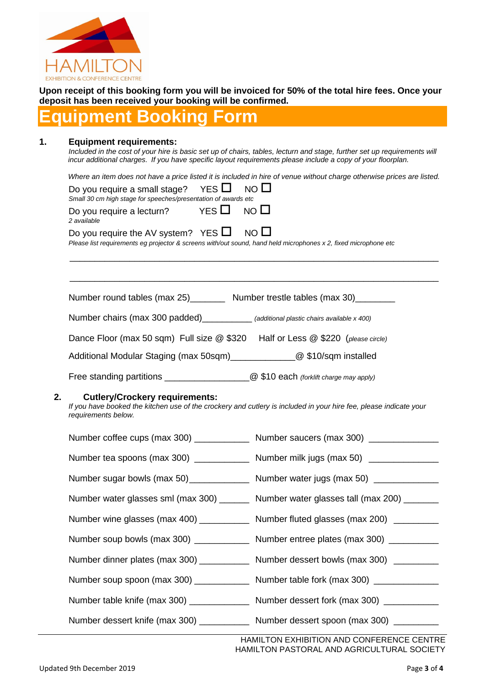

**Upon receipt of this booking form you will be invoiced for 50% of the total hire fees. Once your deposit has been received your booking will be confirmed.** 

## **Equipment Booking Form**

#### **1. Equipment requirements:**

*Included in the cost of your hire is basic set up of chairs, tables, lecturn and stage, further set up requirements will incur additional charges. If you have specific layout requirements please include a copy of your floorplan.* 

*Where an item does not have a price listed it is included in hire of venue without charge otherwise prices are listed.*

|    | YES $\Box$<br>NO <sub>1</sub><br>Do you require a small stage?<br>Small 30 cm high stage for speeches/presentation of awards etc                                                  |  |
|----|-----------------------------------------------------------------------------------------------------------------------------------------------------------------------------------|--|
|    | YES $\Box$<br>$NO$ $\Box$<br>Do you require a lecturn?<br>2 available                                                                                                             |  |
|    | Do you require the AV system? YES $\Box$<br>$NO$ $\Box$<br>Please list requirements eg projector & screens with/out sound, hand held microphones x 2, fixed microphone etc        |  |
|    |                                                                                                                                                                                   |  |
|    | Number round tables (max 25)__________ Number trestle tables (max 30)__________                                                                                                   |  |
|    | Number chairs (max 300 padded)___________ (additional plastic chairs available x 400)                                                                                             |  |
|    | Dance Floor (max 50 sqm) Full size @ \$320 Half or Less @ \$220 (please circle)                                                                                                   |  |
|    | Additional Modular Staging (max 50sqm)_______________@ \$10/sqm installed                                                                                                         |  |
|    | Free standing partitions ___________________________________@ \$10 each (forklift charge may apply)                                                                               |  |
| 2. | <b>Cutlery/Crockery requirements:</b><br>If you have booked the kitchen use of the crockery and cutlery is included in your hire fee, please indicate your<br>requirements below. |  |
|    | Number coffee cups (max 300) ______________ Number saucers (max 300) ___________                                                                                                  |  |
|    | Number tea spoons (max 300) ______________ Number milk jugs (max 50) ___________                                                                                                  |  |
|    | Number sugar bowls (max 50) ________________ Number water jugs (max 50) _____________                                                                                             |  |
|    | Number water glasses sml (max 300) _______ Number water glasses tall (max 200) _______                                                                                            |  |
|    | Number wine glasses (max 400) _____________ Number fluted glasses (max 200) _________                                                                                             |  |
|    | Number soup bowls (max 300) ______________ Number entree plates (max 300) __________                                                                                              |  |
|    | Number dinner plates (max 300) _____________ Number dessert bowls (max 300) _________                                                                                             |  |
|    | Number soup spoon (max 300) ______________ Number table fork (max 300) __________                                                                                                 |  |
|    | Number table knife (max 300) ________________ Number dessert fork (max 300) ___________                                                                                           |  |
|    | Number dessert knife (max 300) _____________ Number dessert spoon (max 300) _________                                                                                             |  |

HAMILTON EXHIBITION AND CONFERENCE CENTRE HAMILTON PASTORAL AND AGRICULTURAL SOCIETY